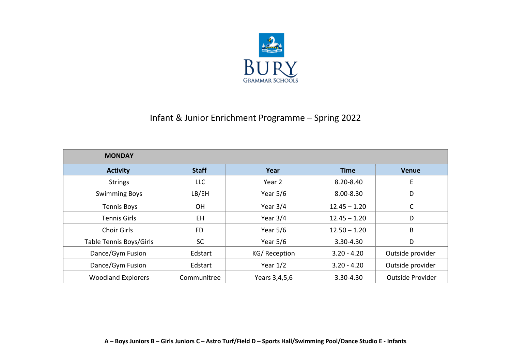

## Infant & Junior Enrichment Programme – Spring 2022

| <b>MONDAY</b>             |              |               |                |                  |
|---------------------------|--------------|---------------|----------------|------------------|
| <b>Activity</b>           | <b>Staff</b> | Year          | <b>Time</b>    | <b>Venue</b>     |
| <b>Strings</b>            | <b>LLC</b>   | Year 2        | 8.20-8.40      | E                |
| <b>Swimming Boys</b>      | LB/EH        | Year $5/6$    | 8.00-8.30      | D                |
| <b>Tennis Boys</b>        | OH           | Year $3/4$    | $12.45 - 1.20$ | $\mathsf{C}$     |
| <b>Tennis Girls</b>       | <b>EH</b>    | Year $3/4$    | $12.45 - 1.20$ | D                |
| <b>Choir Girls</b>        | <b>FD</b>    | Year $5/6$    | $12.50 - 1.20$ | B                |
| Table Tennis Boys/Girls   | <b>SC</b>    | Year $5/6$    | 3.30-4.30      | D                |
| Dance/Gym Fusion          | Edstart      | KG/Reception  | $3.20 - 4.20$  | Outside provider |
| Dance/Gym Fusion          | Edstart      | Year $1/2$    | $3.20 - 4.20$  | Outside provider |
| <b>Woodland Explorers</b> | Communitree  | Years 3,4,5,6 | 3.30-4.30      | Outside Provider |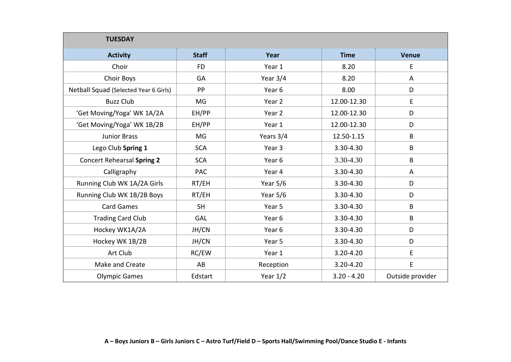| <b>TUESDAY</b>                        |              |                   |               |                  |
|---------------------------------------|--------------|-------------------|---------------|------------------|
| <b>Activity</b>                       | <b>Staff</b> | Year              | <b>Time</b>   | <b>Venue</b>     |
| Choir                                 | <b>FD</b>    | Year 1            | 8.20          | E                |
| <b>Choir Boys</b>                     | GA           | Year $3/4$        | 8.20          | A                |
| Netball Squad (Selected Year 6 Girls) | PP           | Year 6            | 8.00          | D                |
| <b>Buzz Club</b>                      | MG           | Year 2            | 12.00-12.30   | E                |
| 'Get Moving/Yoga' WK 1A/2A            | EH/PP        | Year 2            | 12.00-12.30   | D                |
| 'Get Moving/Yoga' WK 1B/2B            | EH/PP        | Year 1            | 12.00-12.30   | D                |
| <b>Junior Brass</b>                   | MG           | Years 3/4         | 12.50-1.15    | B                |
| Lego Club Spring 1                    | <b>SCA</b>   | Year 3            | 3.30-4.30     | B                |
| <b>Concert Rehearsal Spring 2</b>     | <b>SCA</b>   | Year <sub>6</sub> | 3.30-4.30     | B                |
| Calligraphy                           | <b>PAC</b>   | Year 4            | 3.30-4.30     | A                |
| Running Club WK 1A/2A Girls           | RT/EH        | Year $5/6$        | 3.30-4.30     | D                |
| Running Club WK 1B/2B Boys            | RT/EH        | Year 5/6          | 3.30-4.30     | D                |
| <b>Card Games</b>                     | <b>SH</b>    | Year 5            | 3.30-4.30     | B                |
| <b>Trading Card Club</b>              | GAL          | Year 6            | 3.30-4.30     | B                |
| Hockey WK1A/2A                        | JH/CN        | Year 6            | 3.30-4.30     | D                |
| Hockey WK 1B/2B                       | JH/CN        | Year 5            | 3.30-4.30     | D                |
| Art Club                              | RC/EW        | Year 1            | $3.20 - 4.20$ | E                |
| Make and Create                       | AB           | Reception         | 3.20-4.20     | E                |
| <b>Olympic Games</b>                  | Edstart      | Year $1/2$        | $3.20 - 4.20$ | Outside provider |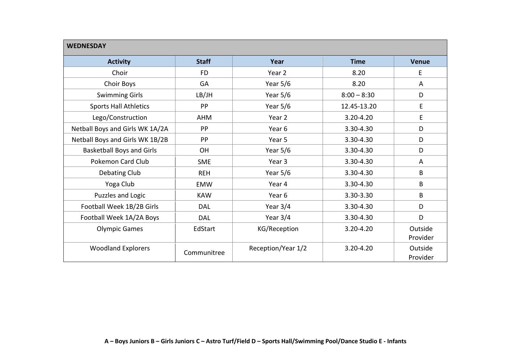| <b>WEDNESDAY</b>                 |              |                    |               |              |
|----------------------------------|--------------|--------------------|---------------|--------------|
| <b>Activity</b>                  | <b>Staff</b> | Year               | <b>Time</b>   | <b>Venue</b> |
| Choir                            | <b>FD</b>    | Year 2             | 8.20          | E            |
| Choir Boys                       | GA           | Year $5/6$         | 8.20          | A            |
| <b>Swimming Girls</b>            | LB/JH        | Year $5/6$         | $8:00 - 8:30$ | D            |
| <b>Sports Hall Athletics</b>     | PP           | Year $5/6$         | 12.45-13.20   | E            |
| Lego/Construction                | <b>AHM</b>   | Year 2             | $3.20 - 4.20$ | E            |
| Netball Boys and Girls WK 1A/2A  | PP           | Year 6             | 3.30-4.30     | D            |
| Netball Boys and Girls WK 1B/2B  | PP           | Year 5             | 3.30-4.30     | D            |
| <b>Basketball Boys and Girls</b> | <b>OH</b>    | Year $5/6$         | 3.30-4.30     | D            |
| <b>Pokemon Card Club</b>         | <b>SME</b>   | Year 3             | 3.30-4.30     | A            |
| Debating Club                    | <b>REH</b>   | Year $5/6$         | 3.30-4.30     | B            |
| Yoga Club                        | <b>EMW</b>   | Year 4             | 3.30-4.30     | B            |
| Puzzles and Logic                | <b>KAW</b>   | Year 6             | 3.30-3.30     | B            |
| Football Week 1B/2B Girls        | <b>DAL</b>   | Year $3/4$         | 3.30-4.30     | D            |
| Football Week 1A/2A Boys         | <b>DAL</b>   | Year $3/4$         | 3.30-4.30     | D            |
| <b>Olympic Games</b>             | EdStart      | KG/Reception       | 3.20-4.20     | Outside      |
|                                  |              |                    |               | Provider     |
| <b>Woodland Explorers</b>        | Communitree  | Reception/Year 1/2 | $3.20 - 4.20$ | Outside      |
|                                  |              |                    |               | Provider     |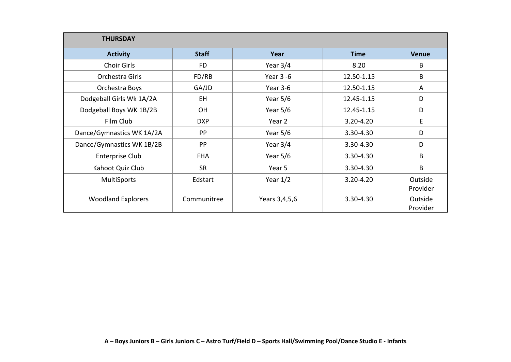| <b>THURSDAY</b>           |              |               |               |              |
|---------------------------|--------------|---------------|---------------|--------------|
| <b>Activity</b>           | <b>Staff</b> | Year          | <b>Time</b>   | <b>Venue</b> |
| Choir Girls               | <b>FD</b>    | Year $3/4$    | 8.20          | B            |
| Orchestra Girls           | FD/RB        | Year 3 -6     | 12.50-1.15    | B            |
| Orchestra Boys            | GA/JD        | Year 3-6      | 12.50-1.15    | A            |
| Dodgeball Girls Wk 1A/2A  | EH.          | Year $5/6$    | 12.45-1.15    | D            |
| Dodgeball Boys WK 1B/2B   | <b>OH</b>    | Year $5/6$    | 12.45-1.15    | D            |
| Film Club                 | <b>DXP</b>   | Year 2        | $3.20 - 4.20$ | E            |
| Dance/Gymnastics WK 1A/2A | <b>PP</b>    | Year $5/6$    | 3.30-4.30     | D            |
| Dance/Gymnastics WK 1B/2B | PP           | Year $3/4$    | 3.30-4.30     | D            |
| <b>Enterprise Club</b>    | <b>FHA</b>   | Year $5/6$    | 3.30-4.30     | B            |
| Kahoot Quiz Club          | <b>SR</b>    | Year 5        | 3.30-4.30     | B            |
| MultiSports               | Edstart      | Year $1/2$    | 3.20-4.20     | Outside      |
|                           |              |               |               | Provider     |
| <b>Woodland Explorers</b> | Communitree  | Years 3,4,5,6 | 3.30-4.30     | Outside      |
|                           |              |               |               | Provider     |